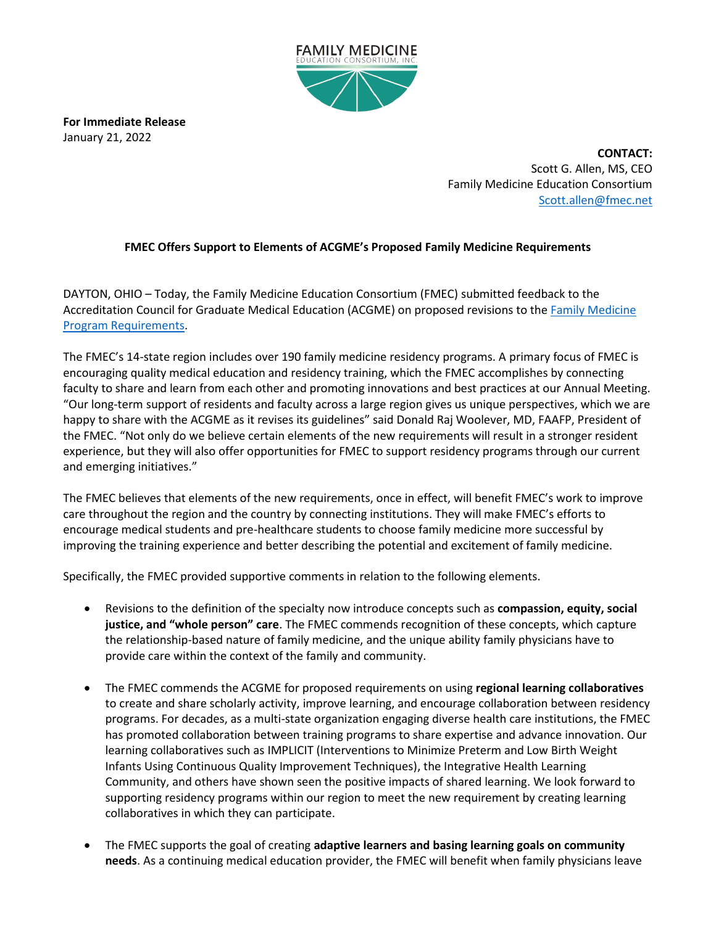

**For Immediate Release** January 21, 2022

> **CONTACT:** Scott G. Allen, MS, CEO Family Medicine Education Consortium [Scott.allen@fmec.net](mailto:Scott.allen@fmec.net)

## **FMEC Offers Support to Elements of ACGME's Proposed Family Medicine Requirements**

DAYTON, OHIO – Today, the Family Medicine Education Consortium (FMEC) submitted feedback to the Accreditation Council for Graduate Medical Education (ACGME) on proposed revisions to th[e Family Medicine](https://r20.rs6.net/tn.jsp?f=001N5GUbKWl-yfEhFIQ_sVo4LVgdlKF-pVqC0n6u9OE-_CDQzZXFd7YC-k06BwrN0VA-Ts0RH76UdoTEZTnDnEIlTQOQ0ujYxBxWVJnbGZtZd4rBHeisjFytDUKDXIIO2nUnWHyB-RoQlNkwnzbenbRQdkZbSwYAXHFxzxUt4aBFFrfziwceysUIXyKL5w_Yn9NjkDCIyRXw54=&c=CzOJEnufpWZJX_srzCdaecs1O5YEXmIgXrVHn9X_NTNUpkPoyyG2yA==&ch=xfQoepX8Z_Wv9W1HSFRTPu0wsn-L2p_kjowZ-glRsWehu7bIjoikIg==)  [Program Requirements.](https://r20.rs6.net/tn.jsp?f=001N5GUbKWl-yfEhFIQ_sVo4LVgdlKF-pVqC0n6u9OE-_CDQzZXFd7YC-k06BwrN0VA-Ts0RH76UdoTEZTnDnEIlTQOQ0ujYxBxWVJnbGZtZd4rBHeisjFytDUKDXIIO2nUnWHyB-RoQlNkwnzbenbRQdkZbSwYAXHFxzxUt4aBFFrfziwceysUIXyKL5w_Yn9NjkDCIyRXw54=&c=CzOJEnufpWZJX_srzCdaecs1O5YEXmIgXrVHn9X_NTNUpkPoyyG2yA==&ch=xfQoepX8Z_Wv9W1HSFRTPu0wsn-L2p_kjowZ-glRsWehu7bIjoikIg==)

The FMEC's 14-state region includes over 190 family medicine residency programs. A primary focus of FMEC is encouraging quality medical education and residency training, which the FMEC accomplishes by connecting faculty to share and learn from each other and promoting innovations and best practices at our Annual Meeting. "Our long-term support of residents and faculty across a large region gives us unique perspectives, which we are happy to share with the ACGME as it revises its guidelines" said Donald Raj Woolever, MD, FAAFP, President of the FMEC. "Not only do we believe certain elements of the new requirements will result in a stronger resident experience, but they will also offer opportunities for FMEC to support residency programs through our current and emerging initiatives."

The FMEC believes that elements of the new requirements, once in effect, will benefit FMEC's work to improve care throughout the region and the country by connecting institutions. They will make FMEC's efforts to encourage medical students and pre-healthcare students to choose family medicine more successful by improving the training experience and better describing the potential and excitement of family medicine.

Specifically, the FMEC provided supportive comments in relation to the following elements.

- Revisions to the definition of the specialty now introduce concepts such as **compassion, equity, social justice, and "whole person" care**. The FMEC commends recognition of these concepts, which capture the relationship-based nature of family medicine, and the unique ability family physicians have to provide care within the context of the family and community.
- The FMEC commends the ACGME for proposed requirements on using **regional learning collaboratives** to create and share scholarly activity, improve learning, and encourage collaboration between residency programs. For decades, as a multi-state organization engaging diverse health care institutions, the FMEC has promoted collaboration between training programs to share expertise and advance innovation. Our learning collaboratives such as IMPLICIT (Interventions to Minimize Preterm and Low Birth Weight Infants Using Continuous Quality Improvement Techniques), the Integrative Health Learning Community, and others have shown seen the positive impacts of shared learning. We look forward to supporting residency programs within our region to meet the new requirement by creating learning collaboratives in which they can participate.
- The FMEC supports the goal of creating **adaptive learners and basing learning goals on community needs**. As a continuing medical education provider, the FMEC will benefit when family physicians leave